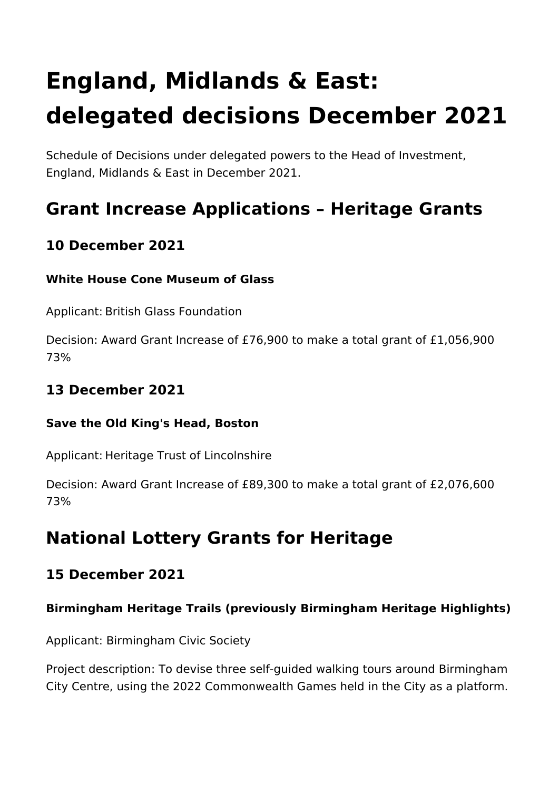# **England, Midlands & East: delegated decisions December 2021**

Schedule of Decisions under delegated powers to the Head of Investment, England, Midlands & East in December 2021.

# **Grant Increase Applications – Heritage Grants**

# **10 December 2021**

#### **White House Cone Museum of Glass**

Applicant: British Glass Foundation

Decision: Award Grant Increase of £76,900 to make a total grant of £1,056,900 73%

# **13 December 2021**

#### **Save the Old King's Head, Boston**

Applicant: Heritage Trust of Lincolnshire

Decision: Award Grant Increase of £89,300 to make a total grant of £2,076,600 73%

# **National Lottery Grants for Heritage**

# **15 December 2021**

# **Birmingham Heritage Trails (previously Birmingham Heritage Highlights)**

Applicant: Birmingham Civic Society

Project description: To devise three self-guided walking tours around Birmingham City Centre, using the 2022 Commonwealth Games held in the City as a platform.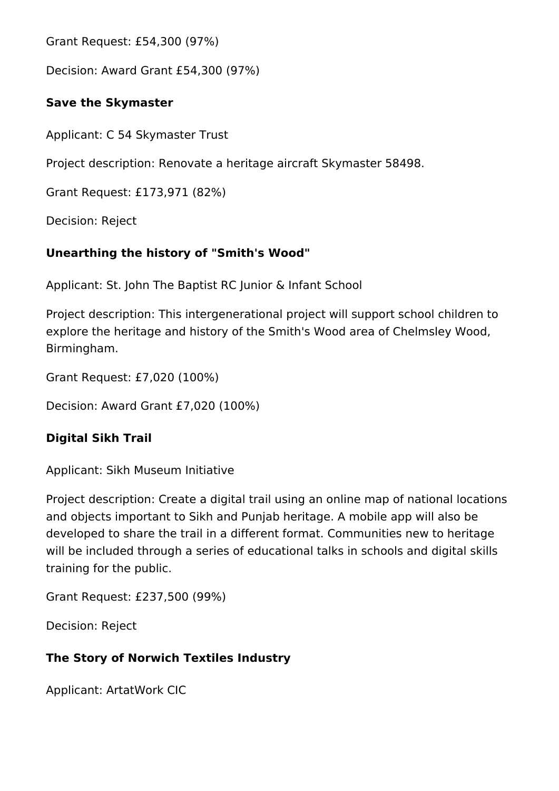Grant Request: £54,300 (97%)

Decision: Award Grant £54,300 (97%)

#### **Save the Skymaster**

Applicant: C 54 Skymaster Trust

Project description: Renovate a heritage aircraft Skymaster 58498.

Grant Request: £173,971 (82%)

Decision: Reject

# **Unearthing the history of "Smith's Wood"**

Applicant: St. John The Baptist RC Junior & Infant School

Project description: This intergenerational project will support school children to explore the heritage and history of the Smith's Wood area of Chelmsley Wood, Birmingham.

Grant Request: £7,020 (100%)

Decision: Award Grant £7,020 (100%)

# **Digital Sikh Trail**

Applicant: Sikh Museum Initiative

Project description: Create a digital trail using an online map of national locations and objects important to Sikh and Punjab heritage. A mobile app will also be developed to share the trail in a different format. Communities new to heritage will be included through a series of educational talks in schools and digital skills training for the public.

Grant Request: £237,500 (99%)

Decision: Reject

# **The Story of Norwich Textiles Industry**

Applicant: ArtatWork CIC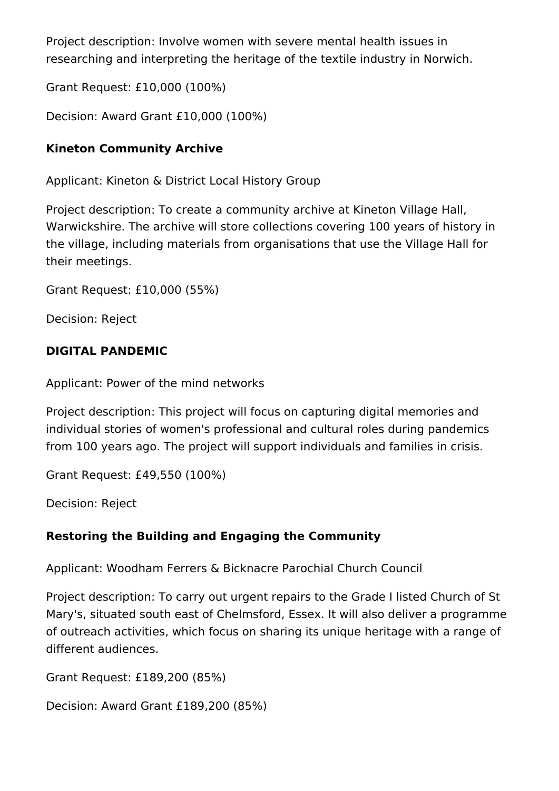Project description: Involve women with severe mental health issues in researching and interpreting the heritage of the textile industry in Norwich.

Grant Request: £10,000 (100%)

Decision: Award Grant £10,000 (100%)

#### **Kineton Community Archive**

Applicant: Kineton & District Local History Group

Project description: To create a community archive at Kineton Village Hall, Warwickshire. The archive will store collections covering 100 years of history in the village, including materials from organisations that use the Village Hall for their meetings.

Grant Request: £10,000 (55%)

Decision: Reject

#### **DIGITAL PANDEMIC**

Applicant: Power of the mind networks

Project description: This project will focus on capturing digital memories and individual stories of women's professional and cultural roles during pandemics from 100 years ago. The project will support individuals and families in crisis.

Grant Request: £49,550 (100%)

Decision: Reject

#### **Restoring the Building and Engaging the Community**

Applicant: Woodham Ferrers & Bicknacre Parochial Church Council

Project description: To carry out urgent repairs to the Grade I listed Church of St Mary's, situated south east of Chelmsford, Essex. It will also deliver a programme of outreach activities, which focus on sharing its unique heritage with a range of different audiences.

Grant Request: £189,200 (85%)

Decision: Award Grant £189,200 (85%)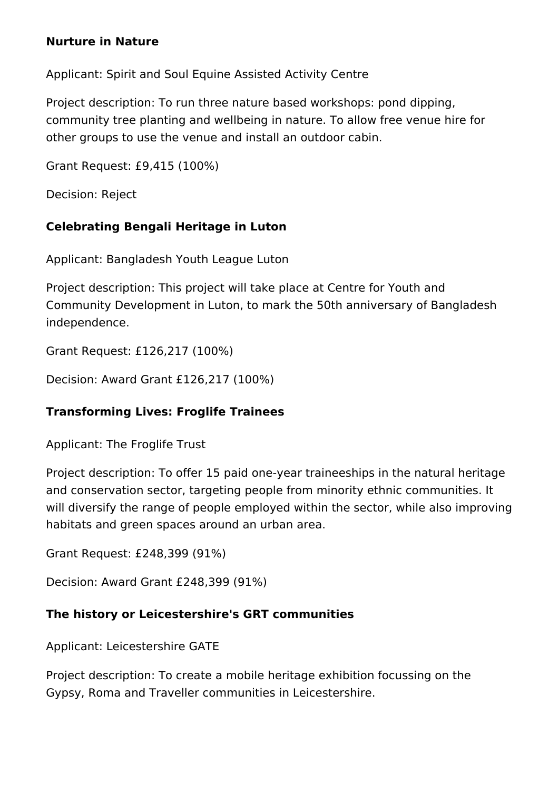#### **Nurture in Nature**

Applicant: Spirit and Soul Equine Assisted Activity Centre

Project description: To run three nature based workshops: pond dipping, community tree planting and wellbeing in nature. To allow free venue hire for other groups to use the venue and install an outdoor cabin.

Grant Request: £9,415 (100%)

Decision: Reject

#### **Celebrating Bengali Heritage in Luton**

Applicant: Bangladesh Youth League Luton

Project description: This project will take place at Centre for Youth and Community Development in Luton, to mark the 50th anniversary of Bangladesh independence.

Grant Request: £126,217 (100%)

Decision: Award Grant £126,217 (100%)

#### **Transforming Lives: Froglife Trainees**

Applicant: The Froglife Trust

Project description: To offer 15 paid one-year traineeships in the natural heritage and conservation sector, targeting people from minority ethnic communities. It will diversify the range of people employed within the sector, while also improving habitats and green spaces around an urban area.

Grant Request: £248,399 (91%)

Decision: Award Grant £248,399 (91%)

#### **The history or Leicestershire's GRT communities**

Applicant: Leicestershire GATE

Project description: To create a mobile heritage exhibition focussing on the Gypsy, Roma and Traveller communities in Leicestershire.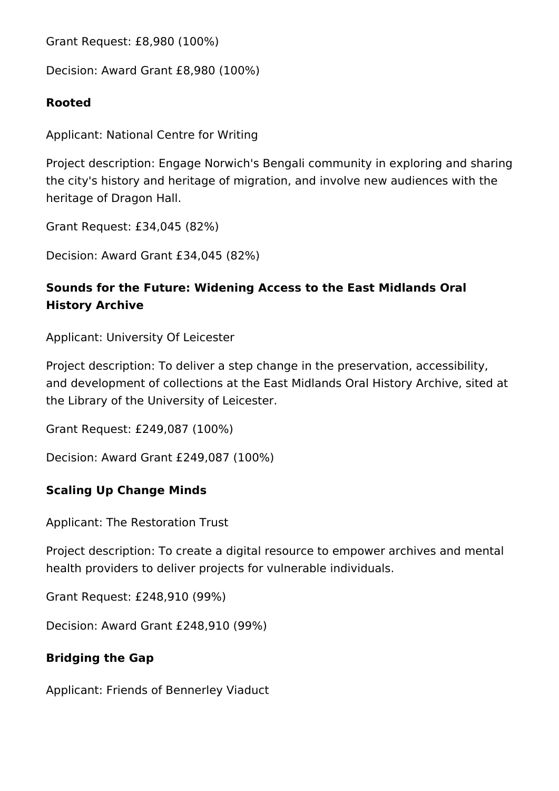Grant Request: £8,980 (100%)

Decision: Award Grant £8,980 (100%)

#### **Rooted**

Applicant: National Centre for Writing

Project description: Engage Norwich's Bengali community in exploring and sharing the city's history and heritage of migration, and involve new audiences with the heritage of Dragon Hall.

Grant Request: £34,045 (82%)

Decision: Award Grant £34,045 (82%)

# **Sounds for the Future: Widening Access to the East Midlands Oral History Archive**

Applicant: University Of Leicester

Project description: To deliver a step change in the preservation, accessibility, and development of collections at the East Midlands Oral History Archive, sited at the Library of the University of Leicester.

Grant Request: £249,087 (100%)

Decision: Award Grant £249,087 (100%)

#### **Scaling Up Change Minds**

Applicant: The Restoration Trust

Project description: To create a digital resource to empower archives and mental health providers to deliver projects for vulnerable individuals.

Grant Request: £248,910 (99%)

Decision: Award Grant £248,910 (99%)

# **Bridging the Gap**

Applicant: Friends of Bennerley Viaduct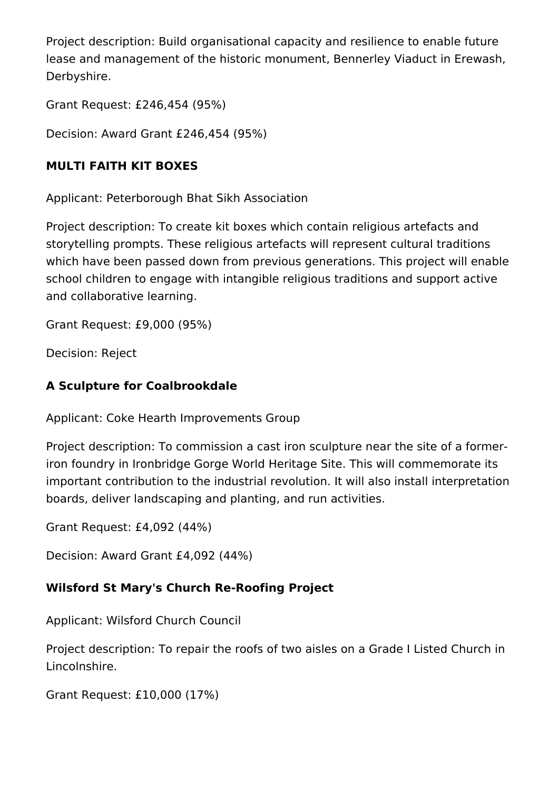Project description: Build organisational capacity and resilience to enable future lease and management of the historic monument, Bennerley Viaduct in Erewash, Derbyshire.

Grant Request: £246,454 (95%)

Decision: Award Grant £246,454 (95%)

#### **MULTI FAITH KIT BOXES**

Applicant: Peterborough Bhat Sikh Association

Project description: To create kit boxes which contain religious artefacts and storytelling prompts. These religious artefacts will represent cultural traditions which have been passed down from previous generations. This project will enable school children to engage with intangible religious traditions and support active and collaborative learning.

Grant Request: £9,000 (95%)

Decision: Reject

# **A Sculpture for Coalbrookdale**

Applicant: Coke Hearth Improvements Group

Project description: To commission a cast iron sculpture near the site of a formeriron foundry in Ironbridge Gorge World Heritage Site. This will commemorate its important contribution to the industrial revolution. It will also install interpretation boards, deliver landscaping and planting, and run activities.

Grant Request: £4,092 (44%)

Decision: Award Grant £4,092 (44%)

# **Wilsford St Mary's Church Re-Roofing Project**

Applicant: Wilsford Church Council

Project description: To repair the roofs of two aisles on a Grade I Listed Church in Lincolnshire.

Grant Request: £10,000 (17%)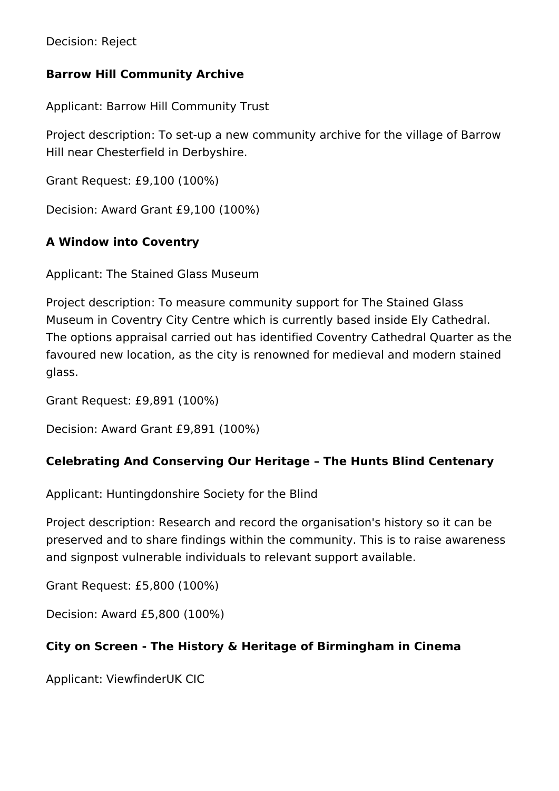Decision: Reject

#### **Barrow Hill Community Archive**

Applicant: Barrow Hill Community Trust

Project description: To set-up a new community archive for the village of Barrow Hill near Chesterfield in Derbyshire.

Grant Request: £9,100 (100%)

Decision: Award Grant £9,100 (100%)

#### **A Window into Coventry**

Applicant: The Stained Glass Museum

Project description: To measure community support for The Stained Glass Museum in Coventry City Centre which is currently based inside Ely Cathedral. The options appraisal carried out has identified Coventry Cathedral Quarter as the favoured new location, as the city is renowned for medieval and modern stained glass.

Grant Request: £9,891 (100%)

Decision: Award Grant £9,891 (100%)

#### **Celebrating And Conserving Our Heritage – The Hunts Blind Centenary**

Applicant: Huntingdonshire Society for the Blind

Project description: Research and record the organisation's history so it can be preserved and to share findings within the community. This is to raise awareness and signpost vulnerable individuals to relevant support available.

Grant Request: £5,800 (100%)

Decision: Award £5,800 (100%)

#### **City on Screen - The History & Heritage of Birmingham in Cinema**

Applicant: ViewfinderUK CIC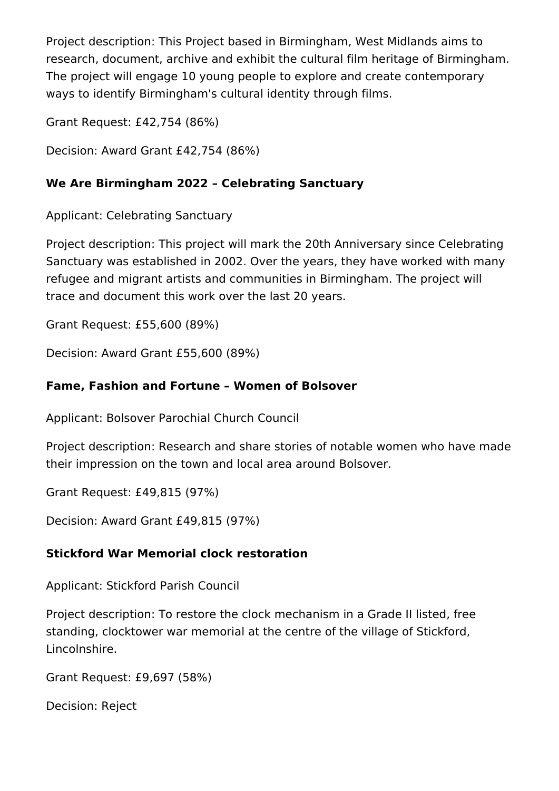Project description: This Project based in Birmingham, West Midlands aims to research, document, archive and exhibit the cultural film heritage of Birmingham. The project will engage 10 young people to explore and create contemporary ways to identify Birmingham's cultural identity through films.

Grant Request: £42,754 (86%)

Decision: Award Grant £42,754 (86%)

#### **We Are Birmingham 2022 – Celebrating Sanctuary**

Applicant: Celebrating Sanctuary

Project description: This project will mark the 20th Anniversary since Celebrating Sanctuary was established in 2002. Over the years, they have worked with many refugee and migrant artists and communities in Birmingham. The project will trace and document this work over the last 20 years.

Grant Request: £55,600 (89%)

Decision: Award Grant £55,600 (89%)

#### **Fame, Fashion and Fortune – Women of Bolsover**

Applicant: Bolsover Parochial Church Council

Project description: Research and share stories of notable women who have made their impression on the town and local area around Bolsover.

Grant Request: £49,815 (97%)

Decision: Award Grant £49,815 (97%)

#### **Stickford War Memorial clock restoration**

Applicant: Stickford Parish Council

Project description: To restore the clock mechanism in a Grade II listed, free standing, clocktower war memorial at the centre of the village of Stickford, Lincolnshire.

Grant Request: £9,697 (58%)

Decision: Reject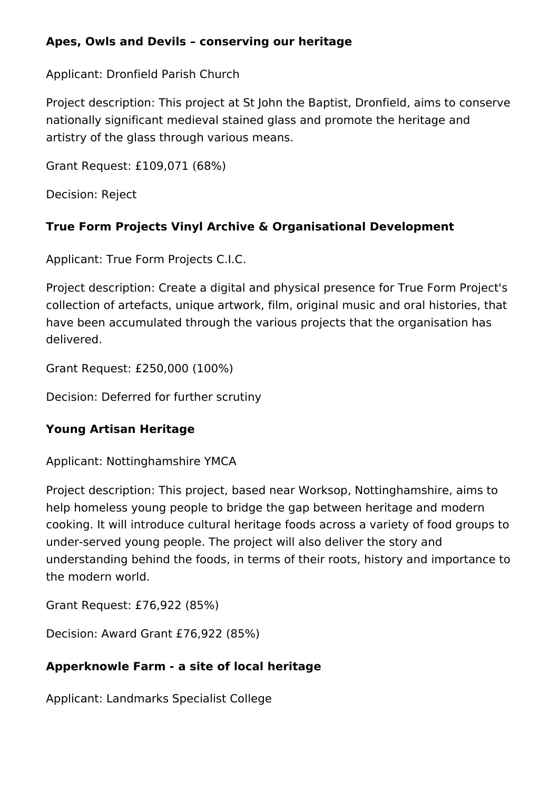#### **Apes, Owls and Devils – conserving our heritage**

Applicant: Dronfield Parish Church

Project description: This project at St John the Baptist, Dronfield, aims to conserve nationally significant medieval stained glass and promote the heritage and artistry of the glass through various means.

Grant Request: £109,071 (68%)

Decision: Reject

# **True Form Projects Vinyl Archive & Organisational Development**

Applicant: True Form Projects C.I.C.

Project description: Create a digital and physical presence for True Form Project's collection of artefacts, unique artwork, film, original music and oral histories, that have been accumulated through the various projects that the organisation has delivered.

Grant Request: £250,000 (100%)

Decision: Deferred for further scrutiny

#### **Young Artisan Heritage**

Applicant: Nottinghamshire YMCA

Project description: This project, based near Worksop, Nottinghamshire, aims to help homeless young people to bridge the gap between heritage and modern cooking. It will introduce cultural heritage foods across a variety of food groups to under-served young people. The project will also deliver the story and understanding behind the foods, in terms of their roots, history and importance to the modern world.

Grant Request: £76,922 (85%)

Decision: Award Grant £76,922 (85%)

#### **Apperknowle Farm - a site of local heritage**

Applicant: Landmarks Specialist College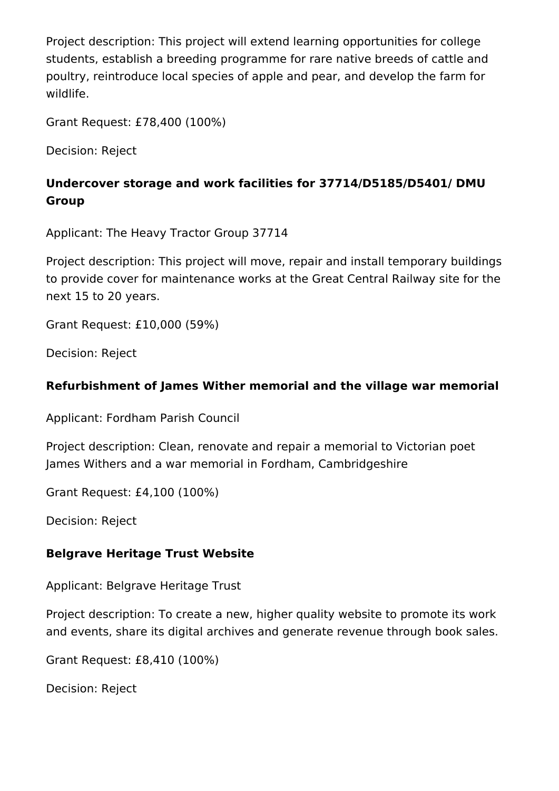Project description: This project will extend learning opportunities for college students, establish a breeding programme for rare native breeds of cattle and poultry, reintroduce local species of apple and pear, and develop the farm for wildlife.

Grant Request: £78,400 (100%)

Decision: Reject

# **Undercover storage and work facilities for 37714/D5185/D5401/ DMU Group**

Applicant: The Heavy Tractor Group 37714

Project description: This project will move, repair and install temporary buildings to provide cover for maintenance works at the Great Central Railway site for the next 15 to 20 years.

Grant Request: £10,000 (59%)

Decision: Reject

#### **Refurbishment of James Wither memorial and the village war memorial**

Applicant: Fordham Parish Council

Project description: Clean, renovate and repair a memorial to Victorian poet James Withers and a war memorial in Fordham, Cambridgeshire

Grant Request: £4,100 (100%)

Decision: Reject

#### **Belgrave Heritage Trust Website**

Applicant: Belgrave Heritage Trust

Project description: To create a new, higher quality website to promote its work and events, share its digital archives and generate revenue through book sales.

Grant Request: £8,410 (100%)

Decision: Reject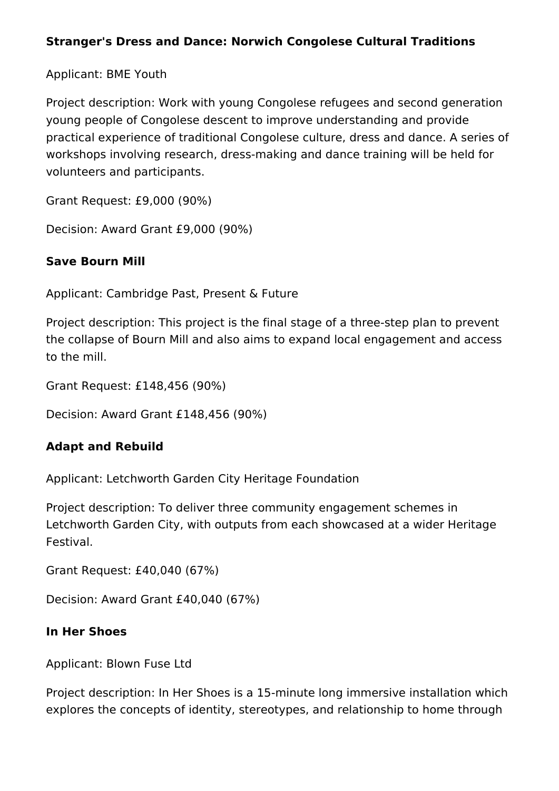#### **Stranger's Dress and Dance: Norwich Congolese Cultural Traditions**

Applicant: BME Youth

Project description: Work with young Congolese refugees and second generation young people of Congolese descent to improve understanding and provide practical experience of traditional Congolese culture, dress and dance. A series of workshops involving research, dress-making and dance training will be held for volunteers and participants.

Grant Request: £9,000 (90%)

Decision: Award Grant £9,000 (90%)

#### **Save Bourn Mill**

Applicant: Cambridge Past, Present & Future

Project description: This project is the final stage of a three-step plan to prevent the collapse of Bourn Mill and also aims to expand local engagement and access to the mill.

Grant Request: £148,456 (90%)

Decision: Award Grant £148,456 (90%)

#### **Adapt and Rebuild**

Applicant: Letchworth Garden City Heritage Foundation

Project description: To deliver three community engagement schemes in Letchworth Garden City, with outputs from each showcased at a wider Heritage Festival.

Grant Request: £40,040 (67%)

Decision: Award Grant £40,040 (67%)

#### **In Her Shoes**

Applicant: Blown Fuse Ltd

Project description: In Her Shoes is a 15-minute long immersive installation which explores the concepts of identity, stereotypes, and relationship to home through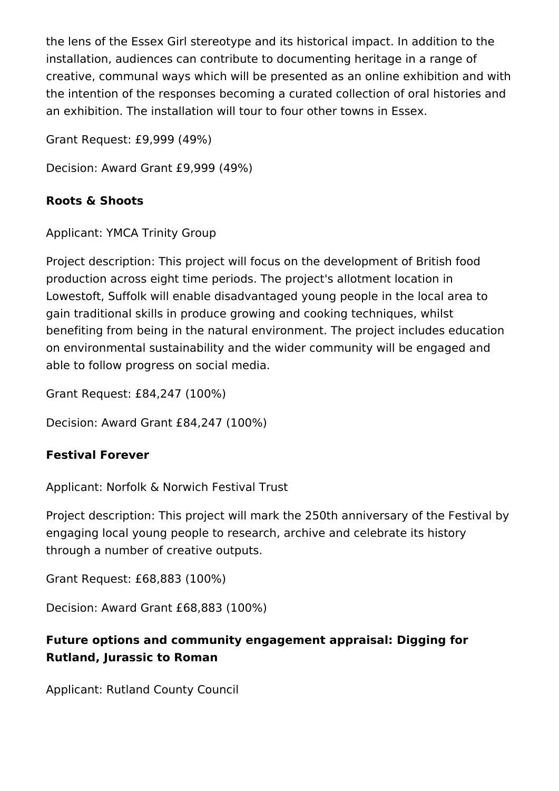the lens of the Essex Girl stereotype and its historical impact. In addition to the installation, audiences can contribute to documenting heritage in a range of creative, communal ways which will be presented as an online exhibition and with the intention of the responses becoming a curated collection of oral histories and an exhibition. The installation will tour to four other towns in Essex.

Grant Request: £9,999 (49%)

Decision: Award Grant £9,999 (49%)

#### **Roots & Shoots**

Applicant: YMCA Trinity Group

Project description: This project will focus on the development of British food production across eight time periods. The project's allotment location in Lowestoft, Suffolk will enable disadvantaged young people in the local area to gain traditional skills in produce growing and cooking techniques, whilst benefiting from being in the natural environment. The project includes education on environmental sustainability and the wider community will be engaged and able to follow progress on social media.

Grant Request: £84,247 (100%)

Decision: Award Grant £84,247 (100%)

# **Festival Forever**

Applicant: Norfolk & Norwich Festival Trust

Project description: This project will mark the 250th anniversary of the Festival by engaging local young people to research, archive and celebrate its history through a number of creative outputs.

Grant Request: £68,883 (100%)

Decision: Award Grant £68,883 (100%)

# **Future options and community engagement appraisal: Digging for Rutland, Jurassic to Roman**

Applicant: Rutland County Council